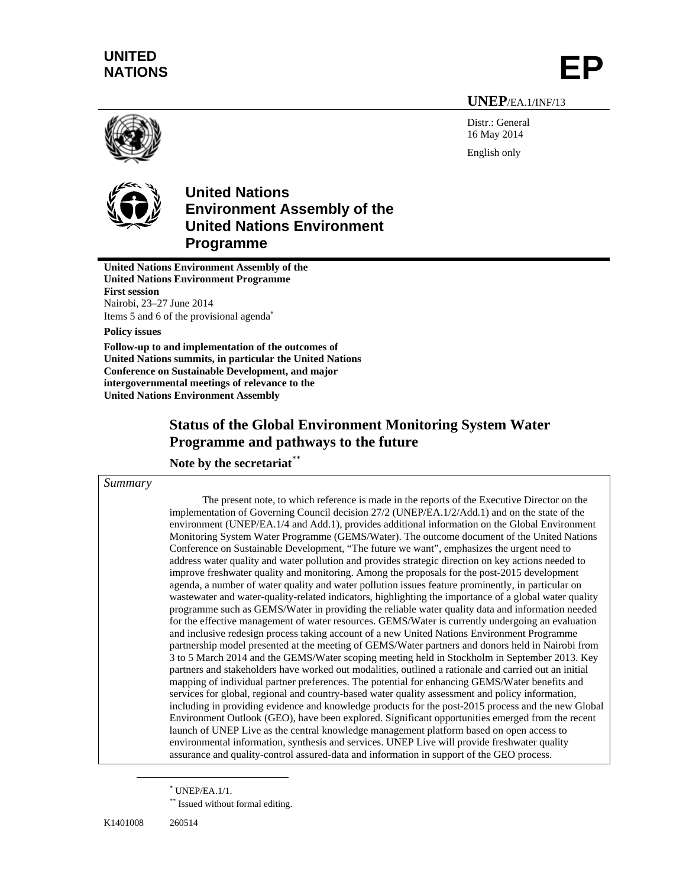# **UNITED**  NATIONS

# **UNEP**/EA.1/INF/13

Distr.: General 16 May 2014 English only





# **United Nations Environment Assembly of the United Nations Environment Programme**

**United Nations Environment Assembly of the United Nations Environment Programme First session**  Nairobi, 23–27 June 2014 Items 5 and 6 of the provisional agenda

**Policy issues** 

**Follow-up to and implementation of the outcomes of United Nations summits, in particular the United Nations Conference on Sustainable Development, and major intergovernmental meetings of relevance to the United Nations Environment Assembly** 

# **Status of the Global Environment Monitoring System Water Programme and pathways to the future**

# **Note by the secretariat\***

### *Summary*

The present note, to which reference is made in the reports of the Executive Director on the implementation of Governing Council decision 27/2 (UNEP/EA.1/2/Add.1) and on the state of the environment (UNEP/EA.1/4 and Add.1), provides additional information on the Global Environment Monitoring System Water Programme (GEMS/Water). The outcome document of the United Nations Conference on Sustainable Development, "The future we want", emphasizes the urgent need to address water quality and water pollution and provides strategic direction on key actions needed to improve freshwater quality and monitoring. Among the proposals for the post-2015 development agenda, a number of water quality and water pollution issues feature prominently, in particular on wastewater and water-quality-related indicators, highlighting the importance of a global water quality programme such as GEMS/Water in providing the reliable water quality data and information needed for the effective management of water resources. GEMS/Water is currently undergoing an evaluation and inclusive redesign process taking account of a new United Nations Environment Programme partnership model presented at the meeting of GEMS/Water partners and donors held in Nairobi from 3 to 5 March 2014 and the GEMS/Water scoping meeting held in Stockholm in September 2013. Key partners and stakeholders have worked out modalities, outlined a rationale and carried out an initial mapping of individual partner preferences. The potential for enhancing GEMS/Water benefits and services for global, regional and country-based water quality assessment and policy information, including in providing evidence and knowledge products for the post-2015 process and the new Global Environment Outlook (GEO), have been explored. Significant opportunities emerged from the recent launch of UNEP Live as the central knowledge management platform based on open access to environmental information, synthesis and services. UNEP Live will provide freshwater quality assurance and quality-control assured-data and information in support of the GEO process.

 $\overline{a}$ 

 UNEP/EA.1/1.

<sup>\*\*</sup> Issued without formal editing.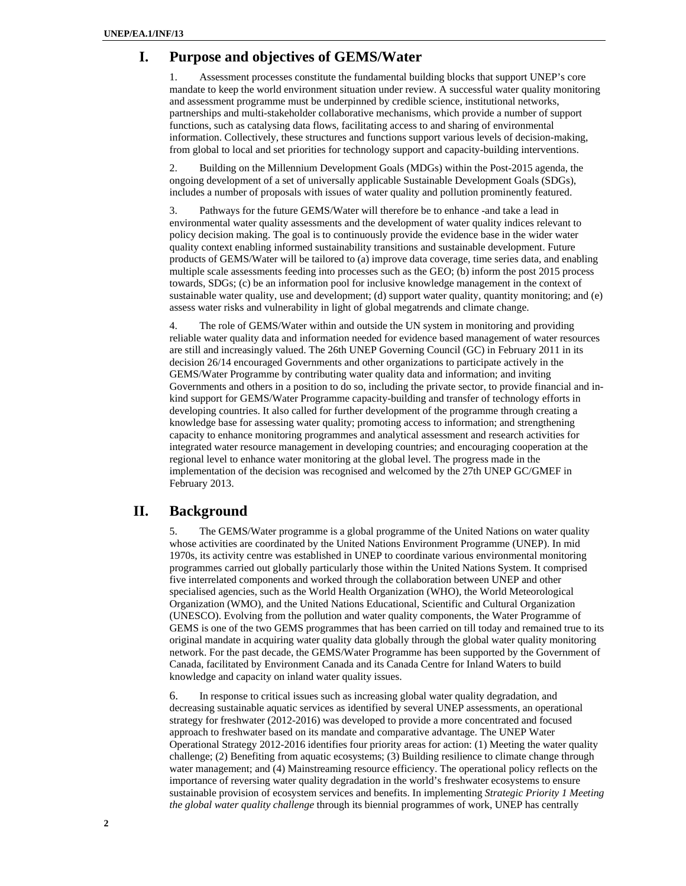# **I. Purpose and objectives of GEMS/Water**

1. Assessment processes constitute the fundamental building blocks that support UNEP's core mandate to keep the world environment situation under review. A successful water quality monitoring and assessment programme must be underpinned by credible science, institutional networks, partnerships and multi-stakeholder collaborative mechanisms, which provide a number of support functions, such as catalysing data flows, facilitating access to and sharing of environmental information. Collectively, these structures and functions support various levels of decision-making, from global to local and set priorities for technology support and capacity-building interventions.

2. Building on the Millennium Development Goals (MDGs) within the Post-2015 agenda, the ongoing development of a set of universally applicable Sustainable Development Goals (SDGs), includes a number of proposals with issues of water quality and pollution prominently featured.

3. Pathways for the future GEMS/Water will therefore be to enhance -and take a lead in environmental water quality assessments and the development of water quality indices relevant to policy decision making. The goal is to continuously provide the evidence base in the wider water quality context enabling informed sustainability transitions and sustainable development. Future products of GEMS/Water will be tailored to (a) improve data coverage, time series data, and enabling multiple scale assessments feeding into processes such as the GEO; (b) inform the post 2015 process towards, SDGs; (c) be an information pool for inclusive knowledge management in the context of sustainable water quality, use and development; (d) support water quality, quantity monitoring; and (e) assess water risks and vulnerability in light of global megatrends and climate change.

4. The role of GEMS/Water within and outside the UN system in monitoring and providing reliable water quality data and information needed for evidence based management of water resources are still and increasingly valued. The 26th UNEP Governing Council (GC) in February 2011 in its decision 26/14 encouraged Governments and other organizations to participate actively in the GEMS/Water Programme by contributing water quality data and information; and inviting Governments and others in a position to do so, including the private sector, to provide financial and inkind support for GEMS/Water Programme capacity-building and transfer of technology efforts in developing countries. It also called for further development of the programme through creating a knowledge base for assessing water quality; promoting access to information; and strengthening capacity to enhance monitoring programmes and analytical assessment and research activities for integrated water resource management in developing countries; and encouraging cooperation at the regional level to enhance water monitoring at the global level. The progress made in the implementation of the decision was recognised and welcomed by the 27th UNEP GC/GMEF in February 2013.

# **II. Background**

5. The GEMS/Water programme is a global programme of the United Nations on water quality whose activities are coordinated by the United Nations Environment Programme (UNEP). In mid 1970s, its activity centre was established in UNEP to coordinate various environmental monitoring programmes carried out globally particularly those within the United Nations System. It comprised five interrelated components and worked through the collaboration between UNEP and other specialised agencies, such as the World Health Organization (WHO), the World Meteorological Organization (WMO), and the United Nations Educational, Scientific and Cultural Organization (UNESCO). Evolving from the pollution and water quality components, the Water Programme of GEMS is one of the two GEMS programmes that has been carried on till today and remained true to its original mandate in acquiring water quality data globally through the global water quality monitoring network. For the past decade, the GEMS/Water Programme has been supported by the Government of Canada, facilitated by Environment Canada and its Canada Centre for Inland Waters to build knowledge and capacity on inland water quality issues.

6. In response to critical issues such as increasing global water quality degradation, and decreasing sustainable aquatic services as identified by several UNEP assessments, an operational strategy for freshwater (2012-2016) was developed to provide a more concentrated and focused approach to freshwater based on its mandate and comparative advantage. The UNEP Water Operational Strategy 2012-2016 identifies four priority areas for action: (1) Meeting the water quality challenge; (2) Benefiting from aquatic ecosystems; (3) Building resilience to climate change through water management; and (4) Mainstreaming resource efficiency. The operational policy reflects on the importance of reversing water quality degradation in the world's freshwater ecosystems to ensure sustainable provision of ecosystem services and benefits. In implementing *Strategic Priority 1 Meeting the global water quality challenge* through its biennial programmes of work, UNEP has centrally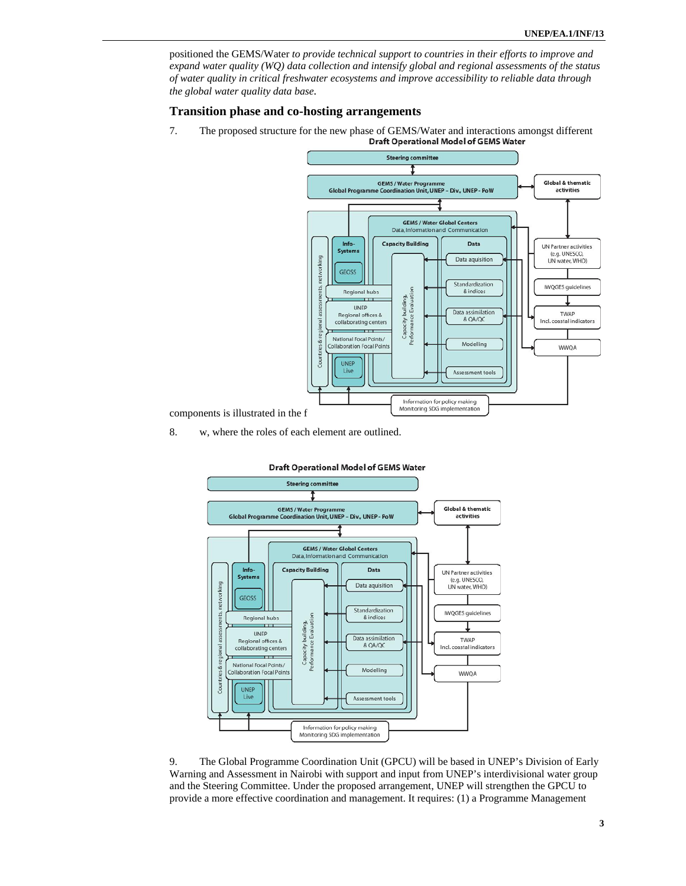positioned the GEMS/Water *to provide technical support to countries in their efforts to improve and expand water quality (WQ) data collection and intensify global and regional assessments of the status of water quality in critical freshwater ecosystems and improve accessibility to reliable data through the global water quality data base.*

### **Transition phase and co-hosting arrangements**

7. The proposed structure for the new phase of GEMS/Water and interactions amongst different<br>Draft Operational Model of GEMS Water



components is illustrated in the f

8. w, where the roles of each element are outlined.



9. The Global Programme Coordination Unit (GPCU) will be based in UNEP's Division of Early Warning and Assessment in Nairobi with support and input from UNEP's interdivisional water group and the Steering Committee. Under the proposed arrangement, UNEP will strengthen the GPCU to provide a more effective coordination and management. It requires: (1) a Programme Management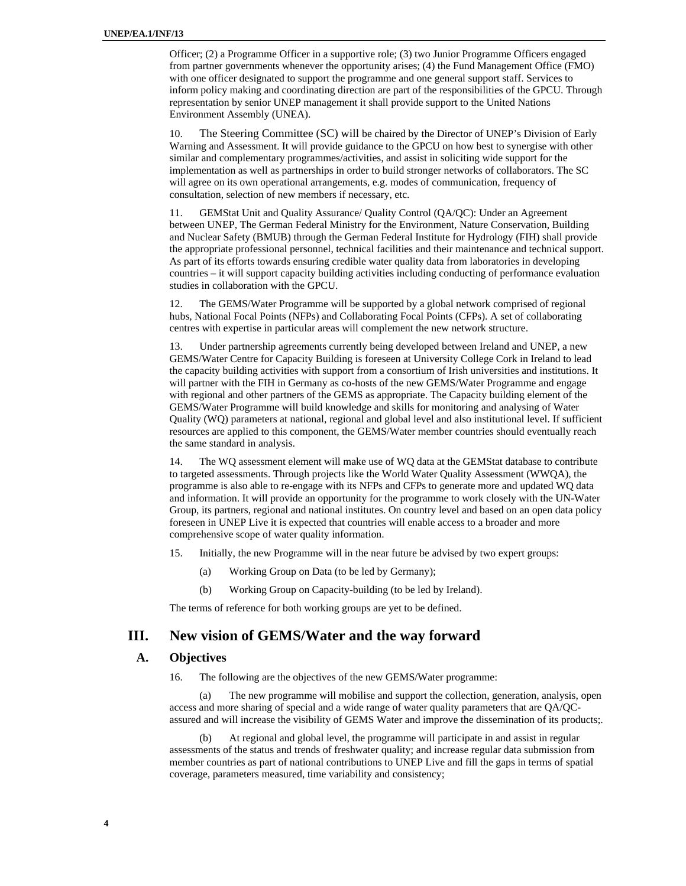Officer; (2) a Programme Officer in a supportive role; (3) two Junior Programme Officers engaged from partner governments whenever the opportunity arises; (4) the Fund Management Office (FMO) with one officer designated to support the programme and one general support staff. Services to inform policy making and coordinating direction are part of the responsibilities of the GPCU. Through representation by senior UNEP management it shall provide support to the United Nations Environment Assembly (UNEA).

10. The Steering Committee (SC) will be chaired by the Director of UNEP's Division of Early Warning and Assessment. It will provide guidance to the GPCU on how best to synergise with other similar and complementary programmes/activities, and assist in soliciting wide support for the implementation as well as partnerships in order to build stronger networks of collaborators. The SC will agree on its own operational arrangements, e.g. modes of communication, frequency of consultation, selection of new members if necessary, etc.

11. GEMStat Unit and Quality Assurance/ Quality Control (QA/QC): Under an Agreement between UNEP, The German Federal Ministry for the Environment, Nature Conservation, Building and Nuclear Safety (BMUB) through the German Federal Institute for Hydrology (FIH) shall provide the appropriate professional personnel, technical facilities and their maintenance and technical support. As part of its efforts towards ensuring credible water quality data from laboratories in developing countries – it will support capacity building activities including conducting of performance evaluation studies in collaboration with the GPCU.

12. The GEMS/Water Programme will be supported by a global network comprised of regional hubs, National Focal Points (NFPs) and Collaborating Focal Points (CFPs). A set of collaborating centres with expertise in particular areas will complement the new network structure.

13. Under partnership agreements currently being developed between Ireland and UNEP, a new GEMS/Water Centre for Capacity Building is foreseen at University College Cork in Ireland to lead the capacity building activities with support from a consortium of Irish universities and institutions. It will partner with the FIH in Germany as co-hosts of the new GEMS/Water Programme and engage with regional and other partners of the GEMS as appropriate. The Capacity building element of the GEMS/Water Programme will build knowledge and skills for monitoring and analysing of Water Quality (WQ) parameters at national, regional and global level and also institutional level. If sufficient resources are applied to this component, the GEMS/Water member countries should eventually reach the same standard in analysis.

14. The WQ assessment element will make use of WQ data at the GEMStat database to contribute to targeted assessments. Through projects like the World Water Quality Assessment (WWQA), the programme is also able to re-engage with its NFPs and CFPs to generate more and updated WQ data and information. It will provide an opportunity for the programme to work closely with the UN-Water Group, its partners, regional and national institutes. On country level and based on an open data policy foreseen in UNEP Live it is expected that countries will enable access to a broader and more comprehensive scope of water quality information.

- 15. Initially, the new Programme will in the near future be advised by two expert groups:
	- (a) Working Group on Data (to be led by Germany);
	- (b) Working Group on Capacity-building (to be led by Ireland).

The terms of reference for both working groups are yet to be defined.

# **III. New vision of GEMS/Water and the way forward**

# **A. Objectives**

16. The following are the objectives of the new GEMS/Water programme:

(a) The new programme will mobilise and support the collection, generation, analysis, open access and more sharing of special and a wide range of water quality parameters that are QA/QCassured and will increase the visibility of GEMS Water and improve the dissemination of its products;.

(b) At regional and global level, the programme will participate in and assist in regular assessments of the status and trends of freshwater quality; and increase regular data submission from member countries as part of national contributions to UNEP Live and fill the gaps in terms of spatial coverage, parameters measured, time variability and consistency;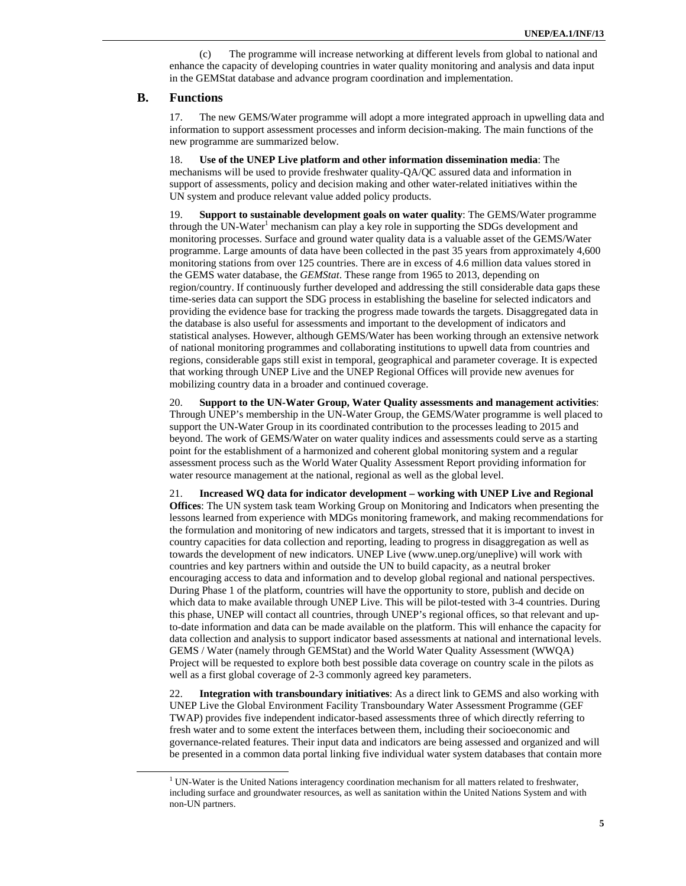(c) The programme will increase networking at different levels from global to national and enhance the capacity of developing countries in water quality monitoring and analysis and data input in the GEMStat database and advance program coordination and implementation.

### **B. Functions**

17. The new GEMS/Water programme will adopt a more integrated approach in upwelling data and information to support assessment processes and inform decision-making. The main functions of the new programme are summarized below.

18. **Use of the UNEP Live platform and other information dissemination media**: The mechanisms will be used to provide freshwater quality-QA/QC assured data and information in support of assessments, policy and decision making and other water-related initiatives within the UN system and produce relevant value added policy products.

19. **Support to sustainable development goals on water quality**: The GEMS/Water programme through the UN-Water<sup>1</sup> mechanism can play a key role in supporting the SDGs development and monitoring processes. Surface and ground water quality data is a valuable asset of the GEMS/Water programme. Large amounts of data have been collected in the past 35 years from approximately 4,600 monitoring stations from over 125 countries. There are in excess of 4.6 million data values stored in the GEMS water database, the *GEMStat*. These range from 1965 to 2013, depending on region/country. If continuously further developed and addressing the still considerable data gaps these time-series data can support the SDG process in establishing the baseline for selected indicators and providing the evidence base for tracking the progress made towards the targets. Disaggregated data in the database is also useful for assessments and important to the development of indicators and statistical analyses. However, although GEMS/Water has been working through an extensive network of national monitoring programmes and collaborating institutions to upwell data from countries and regions, considerable gaps still exist in temporal, geographical and parameter coverage. It is expected that working through UNEP Live and the UNEP Regional Offices will provide new avenues for mobilizing country data in a broader and continued coverage.

20. **Support to the UN-Water Group, Water Quality assessments and management activities**: Through UNEP's membership in the UN-Water Group, the GEMS/Water programme is well placed to support the UN-Water Group in its coordinated contribution to the processes leading to 2015 and beyond. The work of GEMS/Water on water quality indices and assessments could serve as a starting point for the establishment of a harmonized and coherent global monitoring system and a regular assessment process such as the World Water Quality Assessment Report providing information for water resource management at the national, regional as well as the global level.

21. **Increased WQ data for indicator development – working with UNEP Live and Regional Offices**: The UN system task team Working Group on Monitoring and Indicators when presenting the lessons learned from experience with MDGs monitoring framework, and making recommendations for the formulation and monitoring of new indicators and targets, stressed that it is important to invest in country capacities for data collection and reporting, leading to progress in disaggregation as well as towards the development of new indicators. UNEP Live (www.unep.org/uneplive) will work with countries and key partners within and outside the UN to build capacity, as a neutral broker encouraging access to data and information and to develop global regional and national perspectives. During Phase 1 of the platform, countries will have the opportunity to store, publish and decide on which data to make available through UNEP Live. This will be pilot-tested with 3-4 countries. During this phase, UNEP will contact all countries, through UNEP's regional offices, so that relevant and upto-date information and data can be made available on the platform. This will enhance the capacity for data collection and analysis to support indicator based assessments at national and international levels. GEMS / Water (namely through GEMStat) and the World Water Quality Assessment (WWQA) Project will be requested to explore both best possible data coverage on country scale in the pilots as well as a first global coverage of 2-3 commonly agreed key parameters.

22. **Integration with transboundary initiatives**: As a direct link to GEMS and also working with UNEP Live the Global Environment Facility Transboundary Water Assessment Programme (GEF TWAP) provides five independent indicator-based assessments three of which directly referring to fresh water and to some extent the interfaces between them, including their socioeconomic and governance-related features. Their input data and indicators are being assessed and organized and will be presented in a common data portal linking five individual water system databases that contain more

 $\frac{1}{1}$ <sup>1</sup> UN-Water is the United Nations interagency coordination mechanism for all matters related to freshwater, including surface and groundwater resources, as well as sanitation within the United Nations System and with non-UN partners.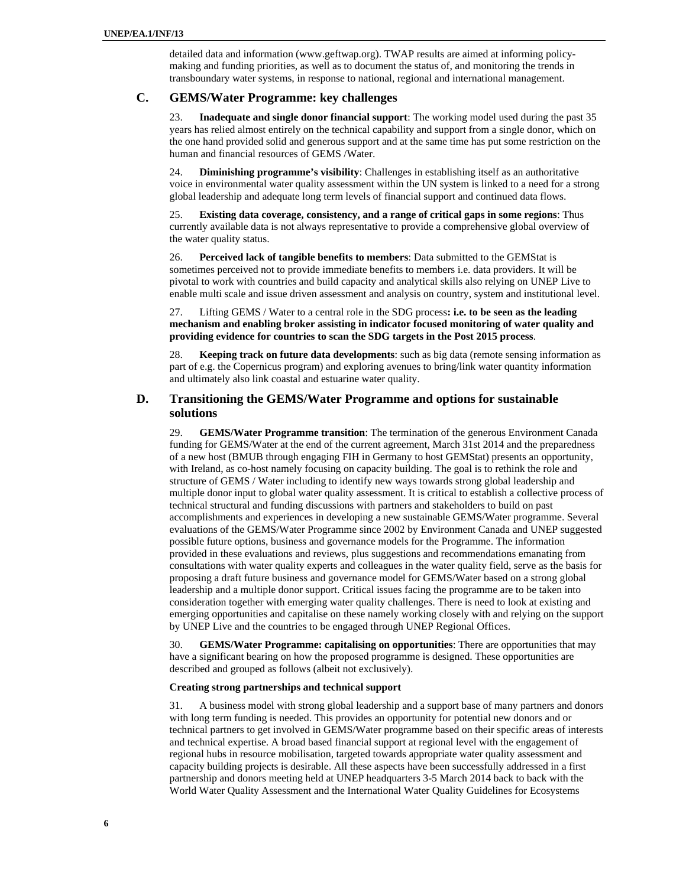detailed data and information (www.geftwap.org). TWAP results are aimed at informing policymaking and funding priorities, as well as to document the status of, and monitoring the trends in transboundary water systems, in response to national, regional and international management.

# **C. GEMS/Water Programme: key challenges**

23. **Inadequate and single donor financial support**: The working model used during the past 35 years has relied almost entirely on the technical capability and support from a single donor, which on the one hand provided solid and generous support and at the same time has put some restriction on the human and financial resources of GEMS /Water.

24. **Diminishing programme's visibility**: Challenges in establishing itself as an authoritative voice in environmental water quality assessment within the UN system is linked to a need for a strong global leadership and adequate long term levels of financial support and continued data flows.

25. **Existing data coverage, consistency, and a range of critical gaps in some regions**: Thus currently available data is not always representative to provide a comprehensive global overview of the water quality status.

26. **Perceived lack of tangible benefits to members**: Data submitted to the GEMStat is sometimes perceived not to provide immediate benefits to members i.e. data providers. It will be pivotal to work with countries and build capacity and analytical skills also relying on UNEP Live to enable multi scale and issue driven assessment and analysis on country, system and institutional level.

27. Lifting GEMS / Water to a central role in the SDG process**: i.e. to be seen as the leading mechanism and enabling broker assisting in indicator focused monitoring of water quality and providing evidence for countries to scan the SDG targets in the Post 2015 process**.

28. **Keeping track on future data developments**: such as big data (remote sensing information as part of e.g. the Copernicus program) and exploring avenues to bring/link water quantity information and ultimately also link coastal and estuarine water quality.

## **D. Transitioning the GEMS/Water Programme and options for sustainable solutions**

29. **GEMS/Water Programme transition**: The termination of the generous Environment Canada funding for GEMS/Water at the end of the current agreement, March 31st 2014 and the preparedness of a new host (BMUB through engaging FIH in Germany to host GEMStat) presents an opportunity, with Ireland, as co-host namely focusing on capacity building. The goal is to rethink the role and structure of GEMS / Water including to identify new ways towards strong global leadership and multiple donor input to global water quality assessment. It is critical to establish a collective process of technical structural and funding discussions with partners and stakeholders to build on past accomplishments and experiences in developing a new sustainable GEMS/Water programme. Several evaluations of the GEMS/Water Programme since 2002 by Environment Canada and UNEP suggested possible future options, business and governance models for the Programme. The information provided in these evaluations and reviews, plus suggestions and recommendations emanating from consultations with water quality experts and colleagues in the water quality field, serve as the basis for proposing a draft future business and governance model for GEMS/Water based on a strong global leadership and a multiple donor support. Critical issues facing the programme are to be taken into consideration together with emerging water quality challenges. There is need to look at existing and emerging opportunities and capitalise on these namely working closely with and relying on the support by UNEP Live and the countries to be engaged through UNEP Regional Offices.

30. **GEMS/Water Programme: capitalising on opportunities**: There are opportunities that may have a significant bearing on how the proposed programme is designed. These opportunities are described and grouped as follows (albeit not exclusively).

### **Creating strong partnerships and technical support**

31. A business model with strong global leadership and a support base of many partners and donors with long term funding is needed. This provides an opportunity for potential new donors and or technical partners to get involved in GEMS/Water programme based on their specific areas of interests and technical expertise. A broad based financial support at regional level with the engagement of regional hubs in resource mobilisation, targeted towards appropriate water quality assessment and capacity building projects is desirable. All these aspects have been successfully addressed in a first partnership and donors meeting held at UNEP headquarters 3-5 March 2014 back to back with the World Water Quality Assessment and the International Water Quality Guidelines for Ecosystems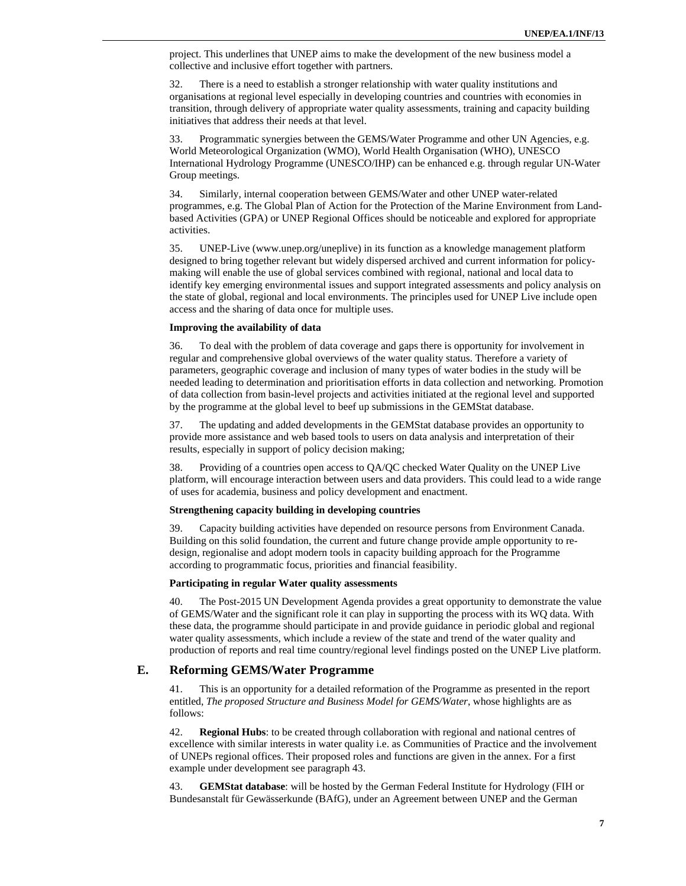project. This underlines that UNEP aims to make the development of the new business model a collective and inclusive effort together with partners.

32. There is a need to establish a stronger relationship with water quality institutions and organisations at regional level especially in developing countries and countries with economies in transition, through delivery of appropriate water quality assessments, training and capacity building initiatives that address their needs at that level.

33. Programmatic synergies between the GEMS/Water Programme and other UN Agencies, e.g. World Meteorological Organization (WMO), World Health Organisation (WHO), UNESCO International Hydrology Programme (UNESCO/IHP) can be enhanced e.g. through regular UN-Water Group meetings.

34. Similarly, internal cooperation between GEMS/Water and other UNEP water-related programmes, e.g. The Global Plan of Action for the Protection of the Marine Environment from Landbased Activities (GPA) or UNEP Regional Offices should be noticeable and explored for appropriate activities.

35. UNEP-Live (www.unep.org/uneplive) in its function as a knowledge management platform designed to bring together relevant but widely dispersed archived and current information for policymaking will enable the use of global services combined with regional, national and local data to identify key emerging environmental issues and support integrated assessments and policy analysis on the state of global, regional and local environments. The principles used for UNEP Live include open access and the sharing of data once for multiple uses.

#### **Improving the availability of data**

36. To deal with the problem of data coverage and gaps there is opportunity for involvement in regular and comprehensive global overviews of the water quality status. Therefore a variety of parameters, geographic coverage and inclusion of many types of water bodies in the study will be needed leading to determination and prioritisation efforts in data collection and networking. Promotion of data collection from basin-level projects and activities initiated at the regional level and supported by the programme at the global level to beef up submissions in the GEMStat database.

37. The updating and added developments in the GEMStat database provides an opportunity to provide more assistance and web based tools to users on data analysis and interpretation of their results, especially in support of policy decision making;

38. Providing of a countries open access to QA/QC checked Water Quality on the UNEP Live platform, will encourage interaction between users and data providers. This could lead to a wide range of uses for academia, business and policy development and enactment.

#### **Strengthening capacity building in developing countries**

39. Capacity building activities have depended on resource persons from Environment Canada. Building on this solid foundation, the current and future change provide ample opportunity to redesign, regionalise and adopt modern tools in capacity building approach for the Programme according to programmatic focus, priorities and financial feasibility.

#### **Participating in regular Water quality assessments**

40. The Post-2015 UN Development Agenda provides a great opportunity to demonstrate the value of GEMS/Water and the significant role it can play in supporting the process with its WQ data. With these data, the programme should participate in and provide guidance in periodic global and regional water quality assessments, which include a review of the state and trend of the water quality and production of reports and real time country/regional level findings posted on the UNEP Live platform.

### **E. Reforming GEMS/Water Programme**

41. This is an opportunity for a detailed reformation of the Programme as presented in the report entitled, *The proposed Structure and Business Model for GEMS/Water*, whose highlights are as follows:

42. **Regional Hubs**: to be created through collaboration with regional and national centres of excellence with similar interests in water quality i.e. as Communities of Practice and the involvement of UNEPs regional offices. Their proposed roles and functions are given in the annex. For a first example under development see paragraph 43.

43. **GEMStat database**: will be hosted by the German Federal Institute for Hydrology (FIH or Bundesanstalt für Gewässerkunde (BAfG), under an Agreement between UNEP and the German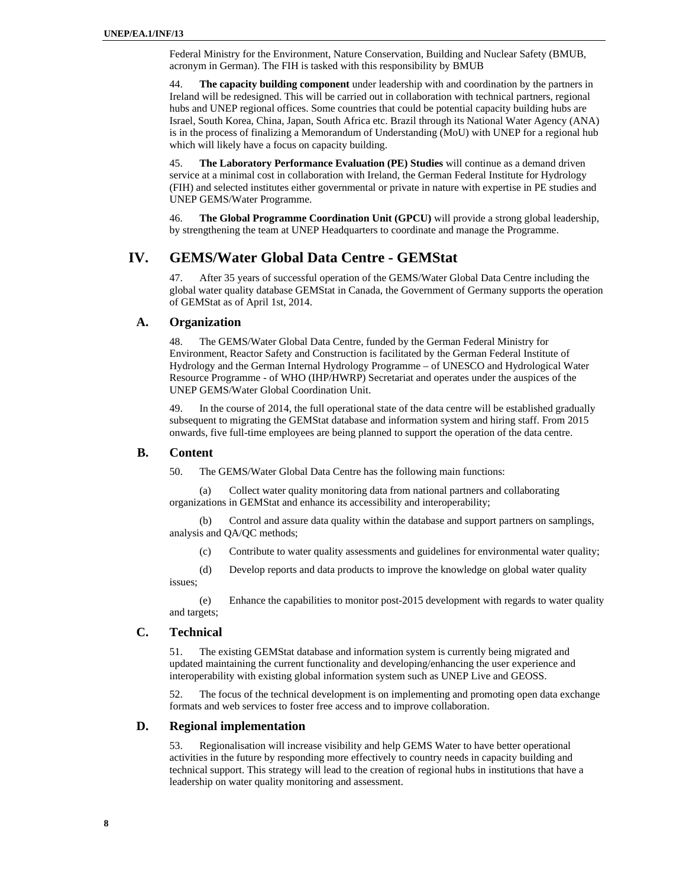Federal Ministry for the Environment, Nature Conservation, Building and Nuclear Safety (BMUB, acronym in German). The FIH is tasked with this responsibility by BMUB

44. **The capacity building component** under leadership with and coordination by the partners in Ireland will be redesigned. This will be carried out in collaboration with technical partners, regional hubs and UNEP regional offices. Some countries that could be potential capacity building hubs are Israel, South Korea, China, Japan, South Africa etc. Brazil through its National Water Agency (ANA) is in the process of finalizing a Memorandum of Understanding (MoU) with UNEP for a regional hub which will likely have a focus on capacity building.

45. **The Laboratory Performance Evaluation (PE) Studies** will continue as a demand driven service at a minimal cost in collaboration with Ireland, the German Federal Institute for Hydrology (FIH) and selected institutes either governmental or private in nature with expertise in PE studies and UNEP GEMS/Water Programme.

46. **The Global Programme Coordination Unit (GPCU)** will provide a strong global leadership, by strengthening the team at UNEP Headquarters to coordinate and manage the Programme.

# **IV. GEMS/Water Global Data Centre - GEMStat**

47. After 35 years of successful operation of the GEMS/Water Global Data Centre including the global water quality database GEMStat in Canada, the Government of Germany supports the operation of GEMStat as of April 1st, 2014.

### **A. Organization**

48. The GEMS/Water Global Data Centre, funded by the German Federal Ministry for Environment, Reactor Safety and Construction is facilitated by the German Federal Institute of Hydrology and the German Internal Hydrology Programme – of UNESCO and Hydrological Water Resource Programme - of WHO (IHP/HWRP) Secretariat and operates under the auspices of the UNEP GEMS/Water Global Coordination Unit.

49. In the course of 2014, the full operational state of the data centre will be established gradually subsequent to migrating the GEMStat database and information system and hiring staff. From 2015 onwards, five full-time employees are being planned to support the operation of the data centre.

## **B. Content**

50. The GEMS/Water Global Data Centre has the following main functions:

(a) Collect water quality monitoring data from national partners and collaborating organizations in GEMStat and enhance its accessibility and interoperability;

(b) Control and assure data quality within the database and support partners on samplings, analysis and QA/QC methods;

(c) Contribute to water quality assessments and guidelines for environmental water quality;

(d) Develop reports and data products to improve the knowledge on global water quality issues;

(e) Enhance the capabilities to monitor post-2015 development with regards to water quality and targets;

### **C. Technical**

51. The existing GEMStat database and information system is currently being migrated and updated maintaining the current functionality and developing/enhancing the user experience and interoperability with existing global information system such as UNEP Live and GEOSS.

52. The focus of the technical development is on implementing and promoting open data exchange formats and web services to foster free access and to improve collaboration.

## **D. Regional implementation**

53. Regionalisation will increase visibility and help GEMS Water to have better operational activities in the future by responding more effectively to country needs in capacity building and technical support. This strategy will lead to the creation of regional hubs in institutions that have a leadership on water quality monitoring and assessment.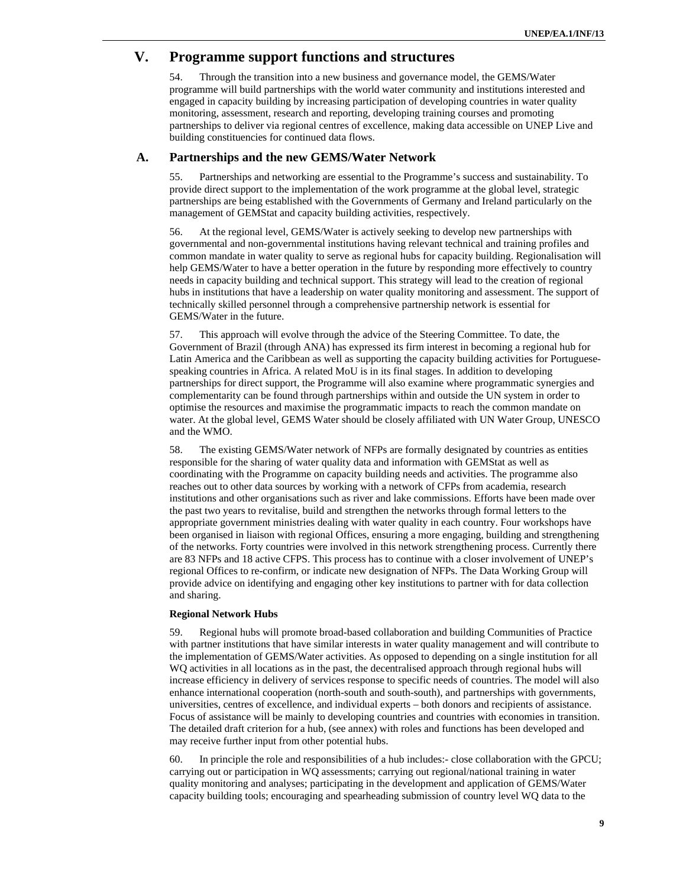# **V. Programme support functions and structures**

54. Through the transition into a new business and governance model, the GEMS/Water programme will build partnerships with the world water community and institutions interested and engaged in capacity building by increasing participation of developing countries in water quality monitoring, assessment, research and reporting, developing training courses and promoting partnerships to deliver via regional centres of excellence, making data accessible on UNEP Live and building constituencies for continued data flows.

### **A. Partnerships and the new GEMS/Water Network**

55. Partnerships and networking are essential to the Programme's success and sustainability. To provide direct support to the implementation of the work programme at the global level, strategic partnerships are being established with the Governments of Germany and Ireland particularly on the management of GEMStat and capacity building activities, respectively.

56. At the regional level, GEMS/Water is actively seeking to develop new partnerships with governmental and non-governmental institutions having relevant technical and training profiles and common mandate in water quality to serve as regional hubs for capacity building. Regionalisation will help GEMS/Water to have a better operation in the future by responding more effectively to country needs in capacity building and technical support. This strategy will lead to the creation of regional hubs in institutions that have a leadership on water quality monitoring and assessment. The support of technically skilled personnel through a comprehensive partnership network is essential for GEMS/Water in the future.

57. This approach will evolve through the advice of the Steering Committee. To date, the Government of Brazil (through ANA) has expressed its firm interest in becoming a regional hub for Latin America and the Caribbean as well as supporting the capacity building activities for Portuguesespeaking countries in Africa. A related MoU is in its final stages. In addition to developing partnerships for direct support, the Programme will also examine where programmatic synergies and complementarity can be found through partnerships within and outside the UN system in order to optimise the resources and maximise the programmatic impacts to reach the common mandate on water. At the global level, GEMS Water should be closely affiliated with UN Water Group, UNESCO and the WMO.

58. The existing GEMS/Water network of NFPs are formally designated by countries as entities responsible for the sharing of water quality data and information with GEMStat as well as coordinating with the Programme on capacity building needs and activities. The programme also reaches out to other data sources by working with a network of CFPs from academia, research institutions and other organisations such as river and lake commissions. Efforts have been made over the past two years to revitalise, build and strengthen the networks through formal letters to the appropriate government ministries dealing with water quality in each country. Four workshops have been organised in liaison with regional Offices, ensuring a more engaging, building and strengthening of the networks. Forty countries were involved in this network strengthening process. Currently there are 83 NFPs and 18 active CFPS. This process has to continue with a closer involvement of UNEP's regional Offices to re-confirm, or indicate new designation of NFPs. The Data Working Group will provide advice on identifying and engaging other key institutions to partner with for data collection and sharing.

#### **Regional Network Hubs**

59. Regional hubs will promote broad-based collaboration and building Communities of Practice with partner institutions that have similar interests in water quality management and will contribute to the implementation of GEMS/Water activities. As opposed to depending on a single institution for all WQ activities in all locations as in the past, the decentralised approach through regional hubs will increase efficiency in delivery of services response to specific needs of countries. The model will also enhance international cooperation (north-south and south-south), and partnerships with governments, universities, centres of excellence, and individual experts – both donors and recipients of assistance. Focus of assistance will be mainly to developing countries and countries with economies in transition. The detailed draft criterion for a hub, (see annex) with roles and functions has been developed and may receive further input from other potential hubs.

60. In principle the role and responsibilities of a hub includes:- close collaboration with the GPCU; carrying out or participation in WQ assessments; carrying out regional/national training in water quality monitoring and analyses; participating in the development and application of GEMS/Water capacity building tools; encouraging and spearheading submission of country level WQ data to the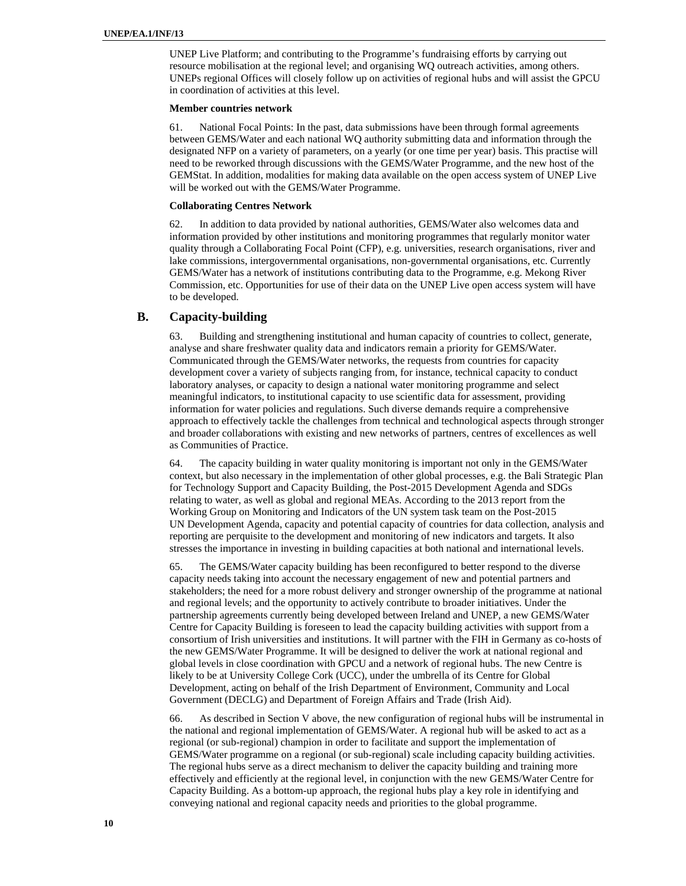UNEP Live Platform; and contributing to the Programme's fundraising efforts by carrying out resource mobilisation at the regional level; and organising WQ outreach activities, among others. UNEPs regional Offices will closely follow up on activities of regional hubs and will assist the GPCU in coordination of activities at this level.

#### **Member countries network**

61. National Focal Points: In the past, data submissions have been through formal agreements between GEMS/Water and each national WQ authority submitting data and information through the designated NFP on a variety of parameters, on a yearly (or one time per year) basis. This practise will need to be reworked through discussions with the GEMS/Water Programme, and the new host of the GEMStat. In addition, modalities for making data available on the open access system of UNEP Live will be worked out with the GEMS/Water Programme.

#### **Collaborating Centres Network**

62. In addition to data provided by national authorities, GEMS/Water also welcomes data and information provided by other institutions and monitoring programmes that regularly monitor water quality through a Collaborating Focal Point (CFP), e.g. universities, research organisations, river and lake commissions, intergovernmental organisations, non-governmental organisations, etc. Currently GEMS/Water has a network of institutions contributing data to the Programme, e.g. Mekong River Commission, etc. Opportunities for use of their data on the UNEP Live open access system will have to be developed.

## **B. Capacity-building**

63. Building and strengthening institutional and human capacity of countries to collect, generate, analyse and share freshwater quality data and indicators remain a priority for GEMS/Water. Communicated through the GEMS/Water networks, the requests from countries for capacity development cover a variety of subjects ranging from, for instance, technical capacity to conduct laboratory analyses, or capacity to design a national water monitoring programme and select meaningful indicators, to institutional capacity to use scientific data for assessment, providing information for water policies and regulations. Such diverse demands require a comprehensive approach to effectively tackle the challenges from technical and technological aspects through stronger and broader collaborations with existing and new networks of partners, centres of excellences as well as Communities of Practice.

64. The capacity building in water quality monitoring is important not only in the GEMS/Water context, but also necessary in the implementation of other global processes, e.g. the Bali Strategic Plan for Technology Support and Capacity Building, the Post-2015 Development Agenda and SDGs relating to water, as well as global and regional MEAs. According to the 2013 report from the Working Group on Monitoring and Indicators of the UN system task team on the Post-2015 UN Development Agenda, capacity and potential capacity of countries for data collection, analysis and reporting are perquisite to the development and monitoring of new indicators and targets. It also stresses the importance in investing in building capacities at both national and international levels.

65. The GEMS/Water capacity building has been reconfigured to better respond to the diverse capacity needs taking into account the necessary engagement of new and potential partners and stakeholders; the need for a more robust delivery and stronger ownership of the programme at national and regional levels; and the opportunity to actively contribute to broader initiatives. Under the partnership agreements currently being developed between Ireland and UNEP, a new GEMS/Water Centre for Capacity Building is foreseen to lead the capacity building activities with support from a consortium of Irish universities and institutions. It will partner with the FIH in Germany as co-hosts of the new GEMS/Water Programme. It will be designed to deliver the work at national regional and global levels in close coordination with GPCU and a network of regional hubs. The new Centre is likely to be at University College Cork (UCC), under the umbrella of its Centre for Global Development, acting on behalf of the Irish Department of Environment, Community and Local Government (DECLG) and Department of Foreign Affairs and Trade (Irish Aid).

66. As described in Section V above, the new configuration of regional hubs will be instrumental in the national and regional implementation of GEMS/Water. A regional hub will be asked to act as a regional (or sub-regional) champion in order to facilitate and support the implementation of GEMS/Water programme on a regional (or sub-regional) scale including capacity building activities. The regional hubs serve as a direct mechanism to deliver the capacity building and training more effectively and efficiently at the regional level, in conjunction with the new GEMS/Water Centre for Capacity Building. As a bottom-up approach, the regional hubs play a key role in identifying and conveying national and regional capacity needs and priorities to the global programme.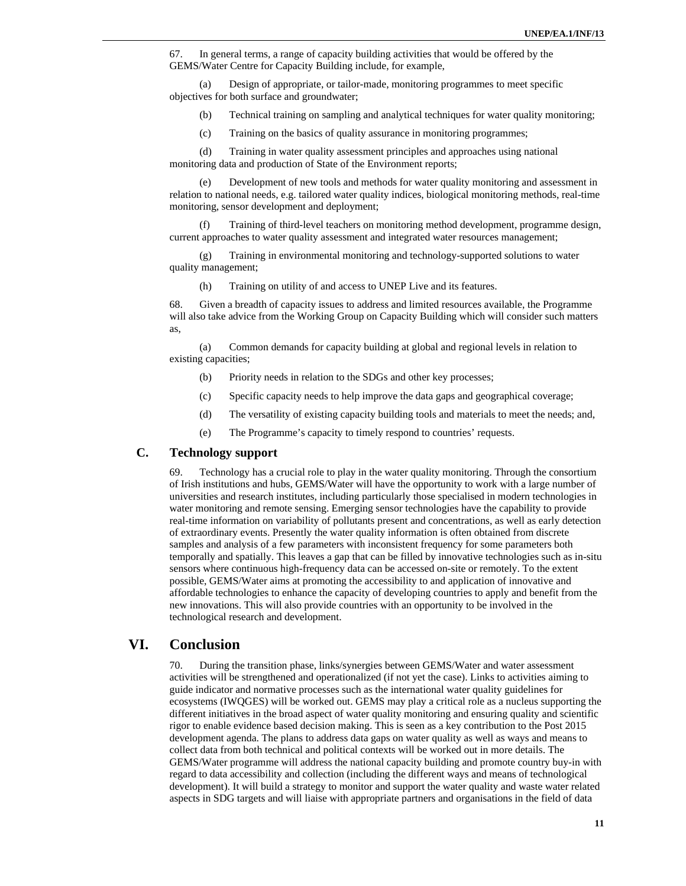67. In general terms, a range of capacity building activities that would be offered by the GEMS/Water Centre for Capacity Building include, for example,

(a) Design of appropriate, or tailor-made, monitoring programmes to meet specific objectives for both surface and groundwater;

(b) Technical training on sampling and analytical techniques for water quality monitoring;

(c) Training on the basics of quality assurance in monitoring programmes;

(d) Training in water quality assessment principles and approaches using national monitoring data and production of State of the Environment reports;

(e) Development of new tools and methods for water quality monitoring and assessment in relation to national needs, e.g. tailored water quality indices, biological monitoring methods, real-time monitoring, sensor development and deployment;

(f) Training of third-level teachers on monitoring method development, programme design, current approaches to water quality assessment and integrated water resources management;

(g) Training in environmental monitoring and technology-supported solutions to water quality management;

(h) Training on utility of and access to UNEP Live and its features.

68. Given a breadth of capacity issues to address and limited resources available, the Programme will also take advice from the Working Group on Capacity Building which will consider such matters as,

(a) Common demands for capacity building at global and regional levels in relation to existing capacities;

- (b) Priority needs in relation to the SDGs and other key processes;
- (c) Specific capacity needs to help improve the data gaps and geographical coverage;
- (d) The versatility of existing capacity building tools and materials to meet the needs; and,
- (e) The Programme's capacity to timely respond to countries' requests.

## **C. Technology support**

69. Technology has a crucial role to play in the water quality monitoring. Through the consortium of Irish institutions and hubs, GEMS/Water will have the opportunity to work with a large number of universities and research institutes, including particularly those specialised in modern technologies in water monitoring and remote sensing. Emerging sensor technologies have the capability to provide real-time information on variability of pollutants present and concentrations, as well as early detection of extraordinary events. Presently the water quality information is often obtained from discrete samples and analysis of a few parameters with inconsistent frequency for some parameters both temporally and spatially. This leaves a gap that can be filled by innovative technologies such as in-situ sensors where continuous high-frequency data can be accessed on-site or remotely. To the extent possible, GEMS/Water aims at promoting the accessibility to and application of innovative and affordable technologies to enhance the capacity of developing countries to apply and benefit from the new innovations. This will also provide countries with an opportunity to be involved in the technological research and development.

# **VI. Conclusion**

70. During the transition phase, links/synergies between GEMS/Water and water assessment activities will be strengthened and operationalized (if not yet the case). Links to activities aiming to guide indicator and normative processes such as the international water quality guidelines for ecosystems (IWQGES) will be worked out. GEMS may play a critical role as a nucleus supporting the different initiatives in the broad aspect of water quality monitoring and ensuring quality and scientific rigor to enable evidence based decision making. This is seen as a key contribution to the Post 2015 development agenda. The plans to address data gaps on water quality as well as ways and means to collect data from both technical and political contexts will be worked out in more details. The GEMS/Water programme will address the national capacity building and promote country buy-in with regard to data accessibility and collection (including the different ways and means of technological development). It will build a strategy to monitor and support the water quality and waste water related aspects in SDG targets and will liaise with appropriate partners and organisations in the field of data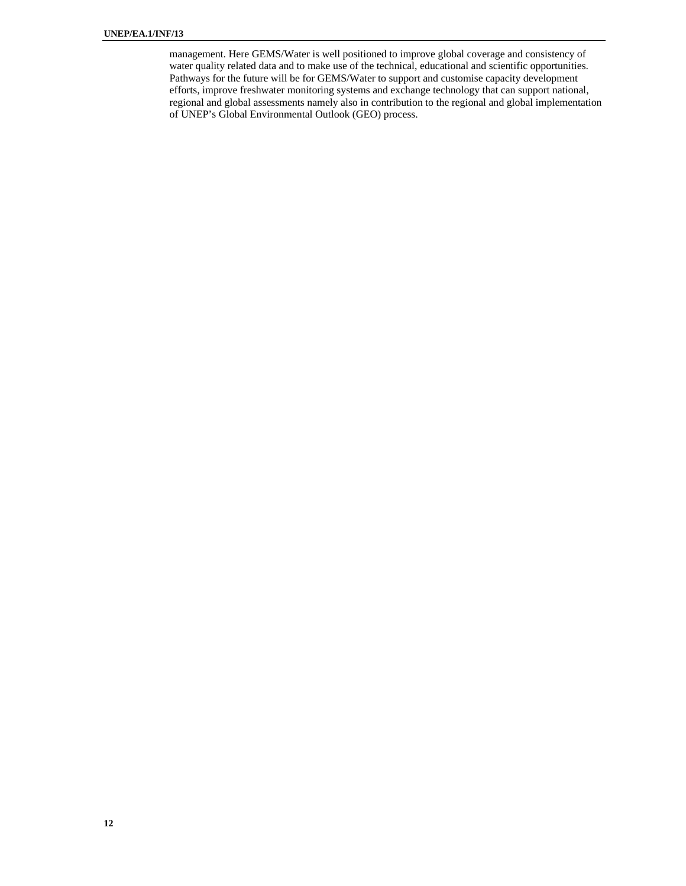management. Here GEMS/Water is well positioned to improve global coverage and consistency of water quality related data and to make use of the technical, educational and scientific opportunities. Pathways for the future will be for GEMS/Water to support and customise capacity development efforts, improve freshwater monitoring systems and exchange technology that can support national, regional and global assessments namely also in contribution to the regional and global implementation of UNEP's Global Environmental Outlook (GEO) process.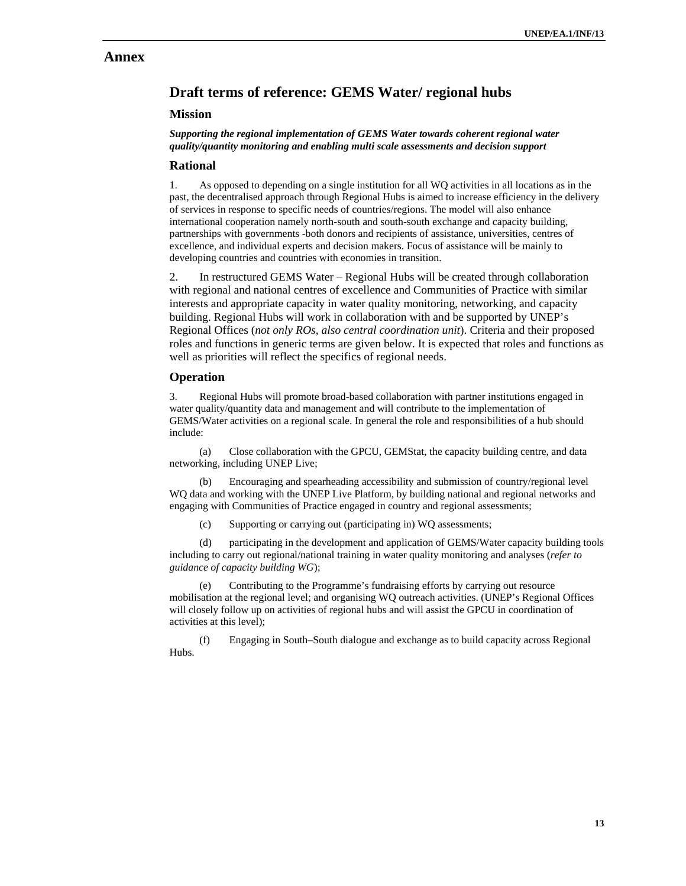# **Annex**

# **Draft terms of reference: GEMS Water/ regional hubs**

### **Mission**

 *Supporting the regional implementation of GEMS Water towards coherent regional water quality/quantity monitoring and enabling multi scale assessments and decision support* 

### **Rational**

1. As opposed to depending on a single institution for all WQ activities in all locations as in the past, the decentralised approach through Regional Hubs is aimed to increase efficiency in the delivery of services in response to specific needs of countries/regions. The model will also enhance international cooperation namely north-south and south-south exchange and capacity building, partnerships with governments -both donors and recipients of assistance, universities, centres of excellence, and individual experts and decision makers. Focus of assistance will be mainly to developing countries and countries with economies in transition.

2. In restructured GEMS Water – Regional Hubs will be created through collaboration with regional and national centres of excellence and Communities of Practice with similar interests and appropriate capacity in water quality monitoring, networking, and capacity building. Regional Hubs will work in collaboration with and be supported by UNEP's Regional Offices (*not only ROs, also central coordination unit*). Criteria and their proposed roles and functions in generic terms are given below. It is expected that roles and functions as well as priorities will reflect the specifics of regional needs.

### **Operation**

3. Regional Hubs will promote broad-based collaboration with partner institutions engaged in water quality/quantity data and management and will contribute to the implementation of GEMS/Water activities on a regional scale. In general the role and responsibilities of a hub should include:

(a) Close collaboration with the GPCU, GEMStat, the capacity building centre, and data networking, including UNEP Live;

(b) Encouraging and spearheading accessibility and submission of country/regional level WQ data and working with the UNEP Live Platform, by building national and regional networks and engaging with Communities of Practice engaged in country and regional assessments;

(c) Supporting or carrying out (participating in) WQ assessments;

(d) participating in the development and application of GEMS/Water capacity building tools including to carry out regional/national training in water quality monitoring and analyses (*refer to guidance of capacity building WG*);

(e) Contributing to the Programme's fundraising efforts by carrying out resource mobilisation at the regional level; and organising WQ outreach activities. (UNEP's Regional Offices will closely follow up on activities of regional hubs and will assist the GPCU in coordination of activities at this level);

(f) Engaging in South–South dialogue and exchange as to build capacity across Regional Hubs.